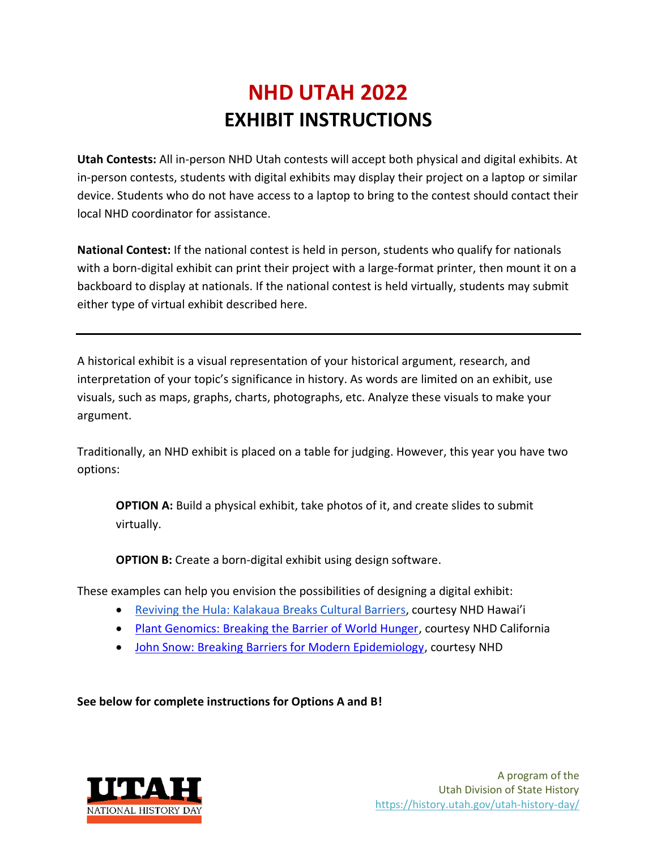# **NHD UTAH 2022 EXHIBIT INSTRUCTIONS**

**Utah Contests:** All in-person NHD Utah contests will accept both physical and digital exhibits. At in-person contests, students with digital exhibits may display their project on a laptop or similar device. Students who do not have access to a laptop to bring to the contest should contact their local NHD coordinator for assistance.

**National Contest:** If the national contest is held in person, students who qualify for nationals with a born-digital exhibit can print their project with a large-format printer, then mount it on a backboard to display at nationals. If the national contest is held virtually, students may submit either type of virtual exhibit described here.

A historical exhibit is a visual representation of your historical argument, research, and interpretation of your topic's significance in history. As words are limited on an exhibit, use visuals, such as maps, graphs, charts, photographs, etc. Analyze these visuals to make your argument.

Traditionally, an NHD exhibit is placed on a table for judging. However, this year you have two options:

**OPTION A:** Build a physical exhibit, take photos of it, and create slides to submit virtually.

**OPTION B:** Create a born-digital exhibit using design software.

These examples can help you envision the possibilities of designing a digital exhibit:

- [Reviving the Hula: Kalakaua Breaks Cultural Barriers](https://drive.google.com/file/d/1PQ92Fvm-aj1S1g-gm790xOol-FR7fV4O/view?usp=sharing), courtesy NHD Hawai'i
- [Plant Genomics: Breaking the Barrier of World Hunger,](https://drive.google.com/file/d/1gENm_Mpj5VL-XVlvgQlphKgv3YD-7jCf/view?usp=sharing) courtesy NHD California
- [John Snow: Breaking Barriers for Modern Epidemiology,](https://drive.google.com/file/d/1O_lcTDo5Kw-Rl_Xt9vHU6lLIceFo9_kt/view?usp=sharing) courtesy NHD

**See below for complete instructions for Options A and B!**

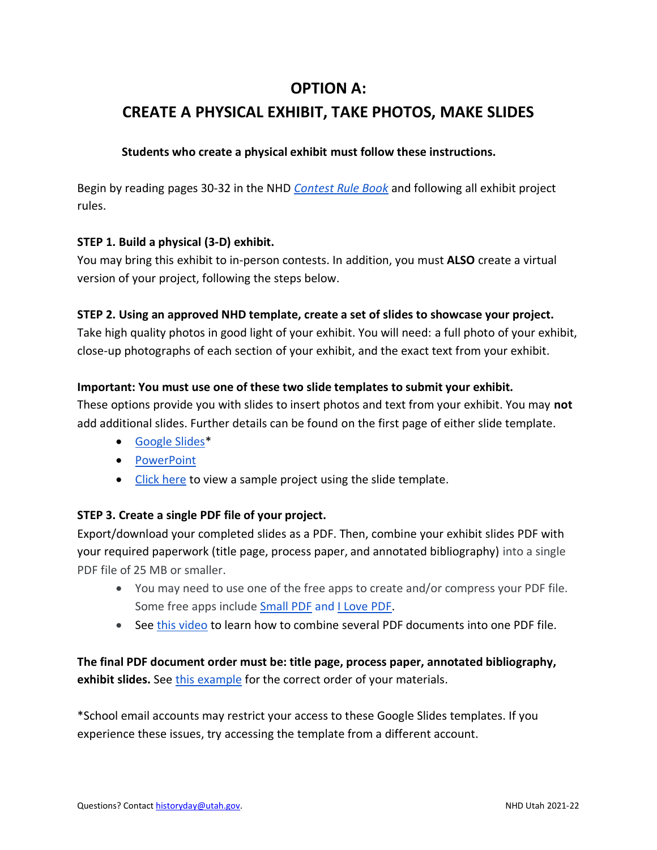### **OPTION A:**

## **CREATE A PHYSICAL EXHIBIT, TAKE PHOTOS, MAKE SLIDES**

#### **Students who create a physical exhibit must follow these instructions.**

Begin by reading pages 30-32 in the NHD *[Contest Rule Book](https://www.nhd.org/sites/default/files/NHDRuleBook2021Digital.pdf)* and following all exhibit project rules.

#### **STEP 1. Build a physical (3-D) exhibit.**

You may bring this exhibit to in-person contests. In addition, you must **ALSO** create a virtual version of your project, following the steps below.

#### **STEP 2. Using an approved NHD template, create a set of slides to showcase your project.**

Take high quality photos in good light of your exhibit. You will need: a full photo of your exhibit, close-up photographs of each section of your exhibit, and the exact text from your exhibit.

#### **Important: You must use one of these two slide templates to submit your exhibit.**

These options provide you with slides to insert photos and text from your exhibit. You may **not** add additional slides. Further details can be found on the first page of either slide template.

- [Google Slides\\*](https://docs.google.com/presentation/d/1d7I30ZxW3jxiLKSImDdmIzD5OFY_SqvQqNoWJnffnsw/template/preview)
- [PowerPoint](https://drive.google.com/file/d/14LkQ6mav8kMw8gtXuH9wC3LUWjFAC0dS/view?usp=sharing)
- [Click here](https://drive.google.com/file/d/1F3xQQ2H45It5IQZpJWNuaTBCw4dL7WWq/view?usp=sharing) to view a sample project using the slide template.

#### **STEP 3. Create a single PDF file of your project.**

Export/download your completed slides as a PDF. Then, combine your exhibit slides PDF with your required paperwork (title page, process paper, and annotated bibliography) into a single PDF file of 25 MB or smaller.

- You may need to use one of the free apps to create and/or compress your PDF file. Some free apps include [Small PDF](https://smallpdf.com/) and [I Love PDF.](https://www.ilovepdf.com/)
- See [this video](https://youtu.be/0LWbu_Jtta0) to learn how to combine several PDF documents into one PDF file.

**The final PDF document order must be: title page, process paper, annotated bibliography, exhibit slides.** See [this example](https://drive.google.com/file/d/1eifpfDehiQzOHvIE98T1ZJpUnT_lxpTh/view?usp=sharing) for the correct order of your materials.

\*School email accounts may restrict your access to these Google Slides templates. If you experience these issues, try accessing the template from a different account.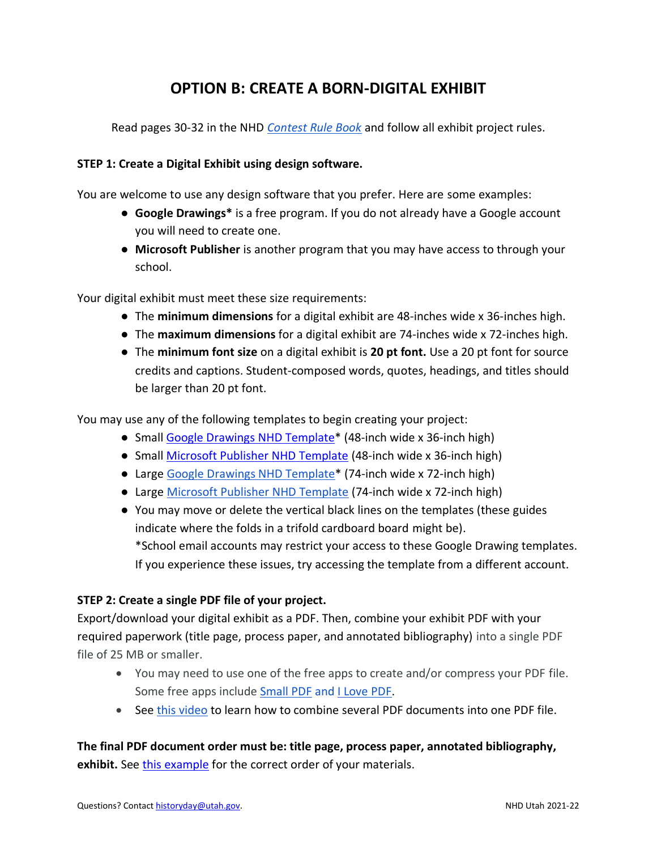## **OPTION B: CREATE A BORN-DIGITAL EXHIBIT**

Read pages 30-32 in the NHD *[Contest Rule Book](https://www.nhd.org/sites/default/files/NHDRuleBook2021Digital.pdf)* and follow all exhibit project rules.

#### **STEP 1: Create a Digital Exhibit using design software.**

You are welcome to use any design software that you prefer. Here are some examples:

- **Google Drawings\*** is a free program. If you do not already have a Google account you will need to create one.
- **Microsoft Publisher** is another program that you may have access to through your school.

Your digital exhibit must meet these size requirements:

- The **minimum dimensions** for a digital exhibit are 48-inches wide x 36-inches high.
- The **maximum dimensions** for a digital exhibit are 74-inches wide x 72-inches high.
- The **minimum font size** on a digital exhibit is **20 pt font.** Use a 20 pt font for source credits and captions. Student-composed words, quotes, headings, and titles should be larger than 20 pt font.

You may use any of the following templates to begin creating your project:

- Small [Google Drawings](https://docs.google.com/drawings/d/e/2PACX-1vRKJ8MLXkJZ7pdAcMovhy-YdBJ3px9FsJTxo6VzsYEi6yscEPNWHNr5IdmzE-Ja1S1jFkLc08uAyGhc/pub?w=6912&h=5184) NHD Template\* (48-inch wide x 36-inch high)
- Small [Microsoft Publisher NHD Template](https://drive.google.com/file/d/1bUMk_zDcIljXMyhbOmGPOJofDOUbIgB4/view?usp=sharing) (48-inch wide x 36-inch high)
- Large Google Drawings NHD Template<sup>\*</sup> (74-inch wide x 72-inch high)
- Large [Microsoft Publisher NHD Template](https://drive.google.com/file/d/1Id2h182pVtm6GEii29HbsfqXwpKCqZAb/view?usp=sharing) (74-inch wide x 72-inch high)
- You may move or delete the vertical black lines on the templates (these guides indicate where the folds in a trifold cardboard board might be). \*School email accounts may restrict your access to these Google Drawing templates. If you experience these issues, try accessing the template from a different account.

#### **STEP 2: Create a single PDF file of your project.**

Export/download your digital exhibit as a PDF. Then, combine your exhibit PDF with your required paperwork (title page, process paper, and annotated bibliography) into a single PDF file of 25 MB or smaller.

- You may need to use one of the free apps to create and/or compress your PDF file. Some free apps include [Small PDF](https://smallpdf.com/) and [I Love PDF.](https://www.ilovepdf.com/)
- See [this video](https://youtu.be/0LWbu_Jtta0) to learn how to combine several PDF documents into one PDF file.

**The final PDF document order must be: title page, process paper, annotated bibliography, exhibit.** Se[e this example](https://drive.google.com/file/d/1Er3f48iCpa5fOXUKaOujq3LFvSCLidT6/view) for the correct order of your materials.